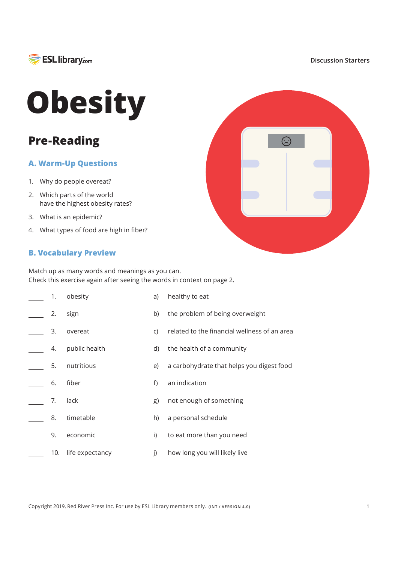

#### **Discussion Starters**



## **Pre-Reading**

#### **A. Warm-Up Questions**

- 1. Why do people overeat?
- 2. Which parts of the world have the highest obesity rates?
- 3. What is an epidemic?
- 4. What types of food are high in fiber?

### **B. Vocabulary Preview**

Match up as many words and meanings as you can. Check this exercise again after seeing the words in context on page 2.

| 1.  | obesity         | a)           | healthy to eat                               |
|-----|-----------------|--------------|----------------------------------------------|
| 2.  | sign            | b)           | the problem of being overweight              |
| 3.  | overeat         | C)           | related to the financial wellness of an area |
| 4.  | public health   | d)           | the health of a community                    |
| 5.  | nutritious      | e)           | a carbohydrate that helps you digest food    |
| 6.  | fiber           | f)           | an indication                                |
| 7.  | lack            | g)           | not enough of something                      |
| 8.  | timetable       | h)           | a personal schedule                          |
| 9.  | economic        | i)           | to eat more than you need                    |
| 10. | life expectancy | $\mathbf{j}$ | how long you will likely live                |



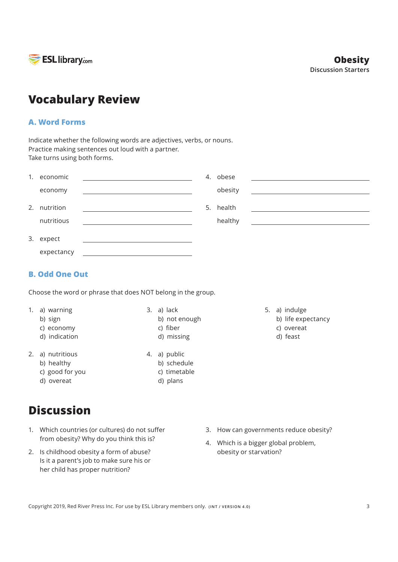

## **Vocabulary Review**

#### **A. Word Forms**

Indicate whether the following words are adjectives, verbs, or nouns. Practice making sentences out loud with a partner. Take turns using both forms.

| 1. | economic                                                                                             | 4. obese  |                                                                                                                       |
|----|------------------------------------------------------------------------------------------------------|-----------|-----------------------------------------------------------------------------------------------------------------------|
|    | economy<br>the control of the control of the control of the control of the control of the control of | obesity   | <u> 1989 - John Harry Harry Harry Harry Harry Harry Harry Harry Harry Harry Harry Harry Harry Harry Harry Harry H</u> |
| 2. | nutrition<br>the contract of the contract of the contract of the contract of                         | 5. health |                                                                                                                       |
|    | nutritious                                                                                           | healthy   |                                                                                                                       |
|    | 3. expect                                                                                            |           |                                                                                                                       |
|    | expectancy                                                                                           |           |                                                                                                                       |

### **B. Odd One Out**

Choose the word or phrase that does NOT belong in the group.

- 1. a) warning
	- b) sign
	- c) economy
	- d) indication
- 2. a) nutritious
	- b) healthy
	- c) good for you
		- d) overeat

# **Discussion**

- 1. Which countries (or cultures) do not suffer from obesity? Why do you think this is?
- 2. Is childhood obesity a form of abuse? Is it a parent's job to make sure his or her child has proper nutrition?
- $3. a)$  lack
	- b) not enough c) fiber
	- d) missing
- 4. a) public b) schedule
	- c) timetable
	- d) plans
- 5. a) indulge
	- b) life expectancy
	- c) overeat
	- d) feast

- 3. How can governments reduce obesity?
- 4. Which is a bigger global problem, obesity or starvation?

Copyright 2019, Red River Press Inc. For use by ESL Library members only. (INT / VERSION 4.0)